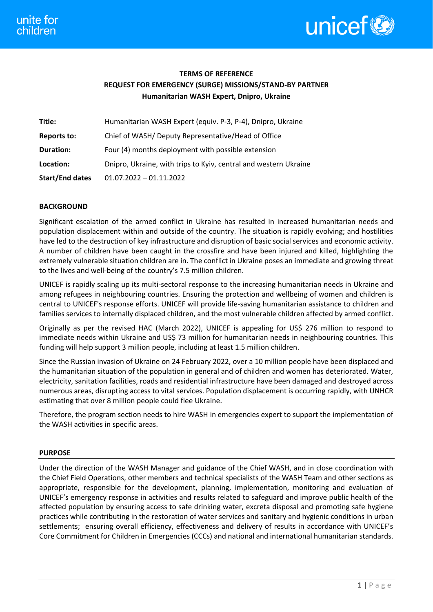

# **TERMS OF REFERENCE REQUEST FOR EMERGENCY (SURGE) MISSIONS/STAND-BY PARTNER Humanitarian WASH Expert, Dnipro, Ukraine**

| Title:                 | Humanitarian WASH Expert (equiv. P-3, P-4), Dnipro, Ukraine      |
|------------------------|------------------------------------------------------------------|
| Reports to:            | Chief of WASH/ Deputy Representative/Head of Office              |
| Duration:              | Four (4) months deployment with possible extension               |
| Location:              | Dnipro, Ukraine, with trips to Kyiv, central and western Ukraine |
| <b>Start/End dates</b> | $01.07.2022 - 01.11.2022$                                        |

## **BACKGROUND**

Significant escalation of the armed conflict in Ukraine has resulted in increased humanitarian needs and population displacement within and outside of the country. The situation is rapidly evolving; and hostilities have led to the destruction of key infrastructure and disruption of basic social services and economic activity. A number of children have been caught in the crossfire and have been injured and killed, highlighting the extremely vulnerable situation children are in. The conflict in Ukraine poses an immediate and growing threat to the lives and well-being of the country's 7.5 million children.

UNICEF is rapidly scaling up its multi-sectoral response to the increasing humanitarian needs in Ukraine and among refugees in neighbouring countries. Ensuring the protection and wellbeing of women and children is central to UNICEF's response efforts. UNICEF will provide life-saving humanitarian assistance to children and families services to internally displaced children, and the most vulnerable children affected by armed conflict.

Originally as per the revised HAC (March 2022), UNICEF is appealing for US\$ 276 million to respond to immediate needs within Ukraine and US\$ 73 million for humanitarian needs in neighbouring countries. This funding will help support 3 million people, including at least 1.5 million children.

Since the Russian invasion of Ukraine on 24 February 2022, over a 10 million people have been displaced and the humanitarian situation of the population in general and of children and women has deteriorated. Water, electricity, sanitation facilities, roads and residential infrastructure have been damaged and destroyed across numerous areas, disrupting access to vital services. Population displacement is occurring rapidly, with UNHCR estimating that over 8 million people could flee Ukraine.

Therefore, the program section needs to hire WASH in emergencies expert to support the implementation of the WASH activities in specific areas.

## **PURPOSE**

Under the direction of the WASH Manager and guidance of the Chief WASH, and in close coordination with the Chief Field Operations, other members and technical specialists of the WASH Team and other sections as appropriate, responsible for the development, planning, implementation, monitoring and evaluation of UNICEF's emergency response in activities and results related to safeguard and improve public health of the affected population by ensuring access to safe drinking water, excreta disposal and promoting safe hygiene practices while contributing in the restoration of water services and sanitary and hygienic conditions in urban settlements; ensuring overall efficiency, effectiveness and delivery of results in accordance with UNICEF's Core Commitment for Children in Emergencies (CCCs) and national and international humanitarian standards.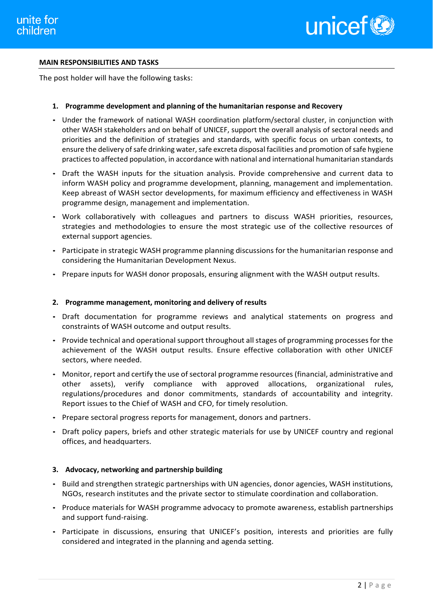

## **MAIN RESPONSIBILITIES AND TASKS**

The post holder will have the following tasks:

## **1. Programme development and planning of the humanitarian response and Recovery**

- Under the framework of national WASH coordination platform/sectoral cluster, in conjunction with other WASH stakeholders and on behalf of UNICEF, support the overall analysis of sectoral needs and priorities and the definition of strategies and standards, with specific focus on urban contexts, to ensure the delivery of safe drinking water, safe excreta disposal facilities and promotion of safe hygiene practices to affected population, in accordance with national and international humanitarian standards
- Draft the WASH inputs for the situation analysis. Provide comprehensive and current data to inform WASH policy and programme development, planning, management and implementation. Keep abreast of WASH sector developments, for maximum efficiency and effectiveness in WASH programme design, management and implementation.
- Work collaboratively with colleagues and partners to discuss WASH priorities, resources, strategies and methodologies to ensure the most strategic use of the collective resources of external support agencies.
- Participate in strategic WASH programme planning discussions for the humanitarian response and considering the Humanitarian Development Nexus.
- Prepare inputs for WASH donor proposals, ensuring alignment with the WASH output results.

#### **2. Programme management, monitoring and delivery of results**

- Draft documentation for programme reviews and analytical statements on progress and constraints of WASH outcome and output results.
- Provide technical and operational support throughout all stages of programming processes for the achievement of the WASH output results. Ensure effective collaboration with other UNICEF sectors, where needed.
- Monitor, report and certify the use of sectoral programme resources (financial, administrative and other assets), verify compliance with approved allocations, organizational rules, regulations/procedures and donor commitments, standards of accountability and integrity. Report issues to the Chief of WASH and CFO, for timely resolution.
- Prepare sectoral progress reports for management, donors and partners.
- Draft policy papers, briefs and other strategic materials for use by UNICEF country and regional offices, and headquarters.

#### **3. Advocacy, networking and partnership building**

- Build and strengthen strategic partnerships with UN agencies, donor agencies, WASH institutions, NGOs, research institutes and the private sector to stimulate coordination and collaboration.
- Produce materials for WASH programme advocacy to promote awareness, establish partnerships and support fund-raising.
- Participate in discussions, ensuring that UNICEF's position, interests and priorities are fully considered and integrated in the planning and agenda setting.